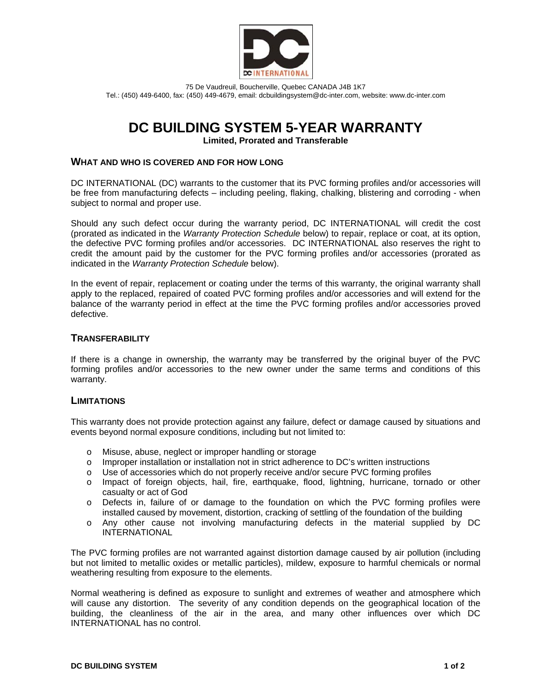

75 De Vaudreuil, Boucherville, Quebec CANADA J4B 1K7 Tel.: (450) 449-6400, fax: (450) 449-4679, email: dcbuildingsystem@dc-inter.com, website: www.dc-inter.com

# **DC BUILDING SYSTEM 5-YEAR WARRANTY**

**Limited, Prorated and Transferable** 

# **WHAT AND WHO IS COVERED AND FOR HOW LONG**

DC INTERNATIONAL (DC) warrants to the customer that its PVC forming profiles and/or accessories will be free from manufacturing defects – including peeling, flaking, chalking, blistering and corroding - when subject to normal and proper use.

Should any such defect occur during the warranty period, DC INTERNATIONAL will credit the cost (prorated as indicated in the *Warranty Protection Schedule* below) to repair, replace or coat, at its option, the defective PVC forming profiles and/or accessories. DC INTERNATIONAL also reserves the right to credit the amount paid by the customer for the PVC forming profiles and/or accessories (prorated as indicated in the *Warranty Protection Schedule* below).

In the event of repair, replacement or coating under the terms of this warranty, the original warranty shall apply to the replaced, repaired of coated PVC forming profiles and/or accessories and will extend for the balance of the warranty period in effect at the time the PVC forming profiles and/or accessories proved defective.

# **TRANSFERABILITY**

If there is a change in ownership, the warranty may be transferred by the original buyer of the PVC forming profiles and/or accessories to the new owner under the same terms and conditions of this warranty.

# **LIMITATIONS**

This warranty does not provide protection against any failure, defect or damage caused by situations and events beyond normal exposure conditions, including but not limited to:

- o Misuse, abuse, neglect or improper handling or storage
- o Improper installation or installation not in strict adherence to DC's written instructions
- o Use of accessories which do not properly receive and/or secure PVC forming profiles
- o Impact of foreign objects, hail, fire, earthquake, flood, lightning, hurricane, tornado or other casualty or act of God
- o Defects in, failure of or damage to the foundation on which the PVC forming profiles were installed caused by movement, distortion, cracking of settling of the foundation of the building
- o Any other cause not involving manufacturing defects in the material supplied by DC INTERNATIONAL

The PVC forming profiles are not warranted against distortion damage caused by air pollution (including but not limited to metallic oxides or metallic particles), mildew, exposure to harmful chemicals or normal weathering resulting from exposure to the elements.

Normal weathering is defined as exposure to sunlight and extremes of weather and atmosphere which will cause any distortion. The severity of any condition depends on the geographical location of the building, the cleanliness of the air in the area, and many other influences over which DC INTERNATIONAL has no control.